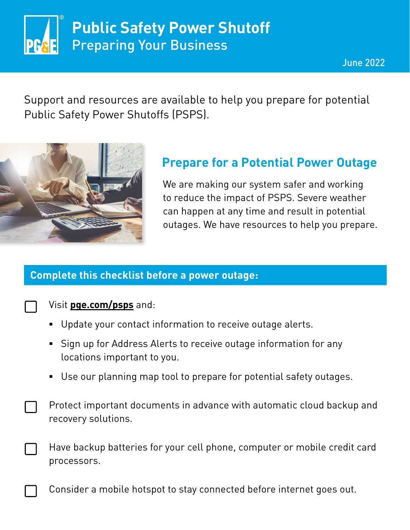

Support and resources are available to help you prepare for potential Public Safety Power Shutoffs (PSPS).



## **Prepare for a Potential Power Outage**

We are making our system safer and working to reduce the impact of PSPS. Severe weather can happen at any time and result in potential outages. We have resources to help you prepare.

### **Complete this checklist before a power outage:**

### Visit **[pge.com/psps](https://www.pge.com/en_US/residential/outages/public-safety-power-shuttoff/learn-about-psps.page?WT.mc_id=Vanity_psps)** and:

- Update your contact information to receive outage alerts.
- **Sign up for Address Alerts to receive outage information for any** locations important to you.
- Use our planning map tool to prepare for potential safety outages.
- Protect important documents in advance with automatic cloud backup and recovery solutions.
- Have backup batteries for your cell phone, computer or mobile credit card processors.

Consider a mobile hotspot to stay connected before internet goes out.